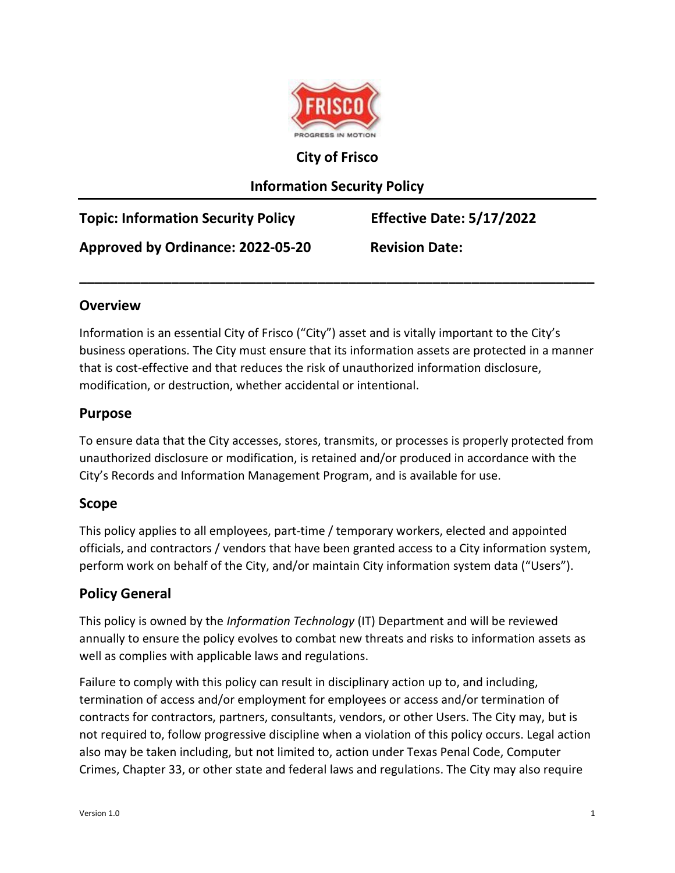

#### **City of Frisco**

## **Information Security Policy**

| <b>Topic: Information Security Policy</b> | Effective Date: 5/17/2022 |
|-------------------------------------------|---------------------------|
| Approved by Ordinance: 2022-05-20         | <b>Revision Date:</b>     |

#### **Overview**

Information is an essential City of Frisco ("City") asset and is vitally important to the City's business operations. The City must ensure that its information assets are protected in a manner that is cost-effective and that reduces the risk of unauthorized information disclosure, modification, or destruction, whether accidental or intentional.

**\_\_\_\_\_\_\_\_\_\_\_\_\_\_\_\_\_\_\_\_\_\_\_\_\_\_\_\_\_\_\_\_\_\_\_\_\_\_\_\_\_\_\_\_\_\_\_\_\_\_\_\_\_\_\_\_\_\_\_\_\_\_\_\_\_\_\_**

#### **Purpose**

To ensure data that the City accesses, stores, transmits, or processes is properly protected from unauthorized disclosure or modification, is retained and/or produced in accordance with the City's Records and Information Management Program, and is available for use.

### **Scope**

This policy applies to all employees, part-time / temporary workers, elected and appointed officials, and contractors / vendors that have been granted access to a City information system, perform work on behalf of the City, and/or maintain City information system data ("Users").

### **Policy General**

This policy is owned by the *Information Technology* (IT) Department and will be reviewed annually to ensure the policy evolves to combat new threats and risks to information assets as well as complies with applicable laws and regulations.

Failure to comply with this policy can result in disciplinary action up to, and including, termination of access and/or employment for employees or access and/or termination of contracts for contractors, partners, consultants, vendors, or other Users. The City may, but is not required to, follow progressive discipline when a violation of this policy occurs. Legal action also may be taken including, but not limited to, action under Texas Penal Code, Computer Crimes, Chapter 33, or other state and federal laws and regulations. The City may also require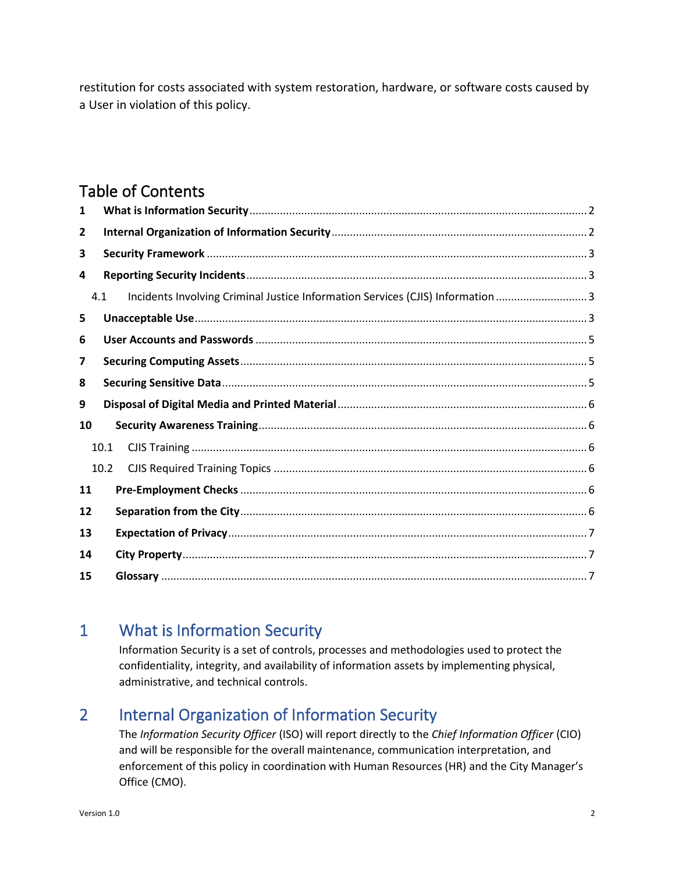restitution for costs associated with system restoration, hardware, or software costs caused by a User in violation of this policy.

# Table of Contents

| 1  |      |                                                                                 |  |  |  |  |
|----|------|---------------------------------------------------------------------------------|--|--|--|--|
| 2  |      |                                                                                 |  |  |  |  |
| 3  |      |                                                                                 |  |  |  |  |
| 4  |      |                                                                                 |  |  |  |  |
|    | 4.1  | Incidents Involving Criminal Justice Information Services (CJIS) Information  3 |  |  |  |  |
| 5  |      |                                                                                 |  |  |  |  |
| 6  |      |                                                                                 |  |  |  |  |
| 7  |      |                                                                                 |  |  |  |  |
| 8  |      |                                                                                 |  |  |  |  |
| 9  |      |                                                                                 |  |  |  |  |
| 10 |      |                                                                                 |  |  |  |  |
|    | 10.1 |                                                                                 |  |  |  |  |
|    | 10.2 |                                                                                 |  |  |  |  |
| 11 |      |                                                                                 |  |  |  |  |
| 12 |      |                                                                                 |  |  |  |  |
| 13 |      |                                                                                 |  |  |  |  |
| 14 |      |                                                                                 |  |  |  |  |
| 15 |      |                                                                                 |  |  |  |  |

# <span id="page-1-0"></span>1 What is Information Security

Information Security is a set of controls, processes and methodologies used to protect the confidentiality, integrity, and availability of information assets by implementing physical, administrative, and technical controls.

# <span id="page-1-1"></span>2 Internal Organization of Information Security

The *Information Security Officer* (ISO) will report directly to the *Chief Information Officer* (CIO) and will be responsible for the overall maintenance, communication interpretation, and enforcement of this policy in coordination with Human Resources (HR) and the City Manager's Office (CMO).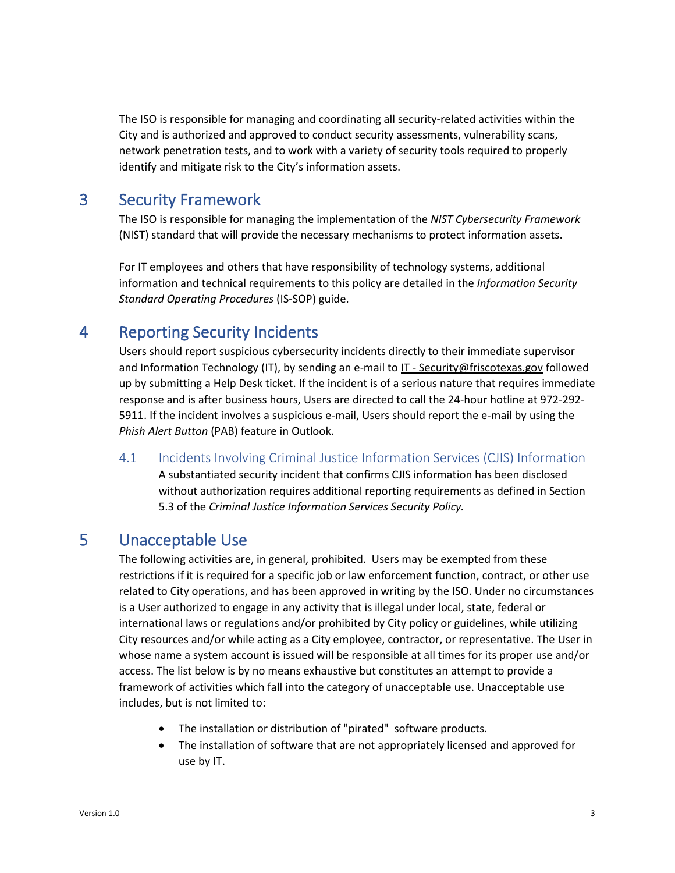The ISO is responsible for managing and coordinating all security-related activities within the City and is authorized and approved to conduct security assessments, vulnerability scans, network penetration tests, and to work with a variety of security tools required to properly identify and mitigate risk to the City's information assets.

# <span id="page-2-0"></span>3 Security Framework

The ISO is responsible for managing the implementation of the *NIST Cybersecurity Framework* (NIST) standard that will provide the necessary mechanisms to protect information assets.

For IT employees and others that have responsibility of technology systems, additional information and technical requirements to this policy are detailed in the *Information Security Standard Operating Procedures* (IS-SOP) guide.

# <span id="page-2-1"></span>4 Reporting Security Incidents

Users should report suspicious cybersecurity incidents directly to their immediate supervisor and Information Technology (IT), by sending an e-mail t[o IT - Security@friscotexas.gov](mailto:IT%20-%20Security@friscotexas.gov) followed up by submitting a Help Desk ticket. If the incident is of a serious nature that requires immediate response and is after business hours, Users are directed to call the 24-hour hotline at 972-292- 5911. If the incident involves a suspicious e-mail, Users should report the e-mail by using the *Phish Alert Button* (PAB) feature in Outlook.

<span id="page-2-2"></span>4.1 Incidents Involving Criminal Justice Information Services (CJIS) Information

A substantiated security incident that confirms CJIS information has been disclosed without authorization requires additional reporting requirements as defined in Section 5.3 of the *Criminal Justice Information Services Security Policy.*

# <span id="page-2-3"></span>5 Unacceptable Use

The following activities are, in general, prohibited. Users may be exempted from these restrictions if it is required for a specific job or law enforcement function, contract, or other use related to City operations, and has been approved in writing by the ISO. Under no circumstances is a User authorized to engage in any activity that is illegal under local, state, federal or international laws or regulations and/or prohibited by City policy or guidelines, while utilizing City resources and/or while acting as a City employee, contractor, or representative. The User in whose name a system account is issued will be responsible at all times for its proper use and/or access. The list below is by no means exhaustive but constitutes an attempt to provide a framework of activities which fall into the category of unacceptable use. Unacceptable use includes, but is not limited to:

- The installation or distribution of "pirated" software products.
- The installation of software that are not appropriately licensed and approved for use by IT.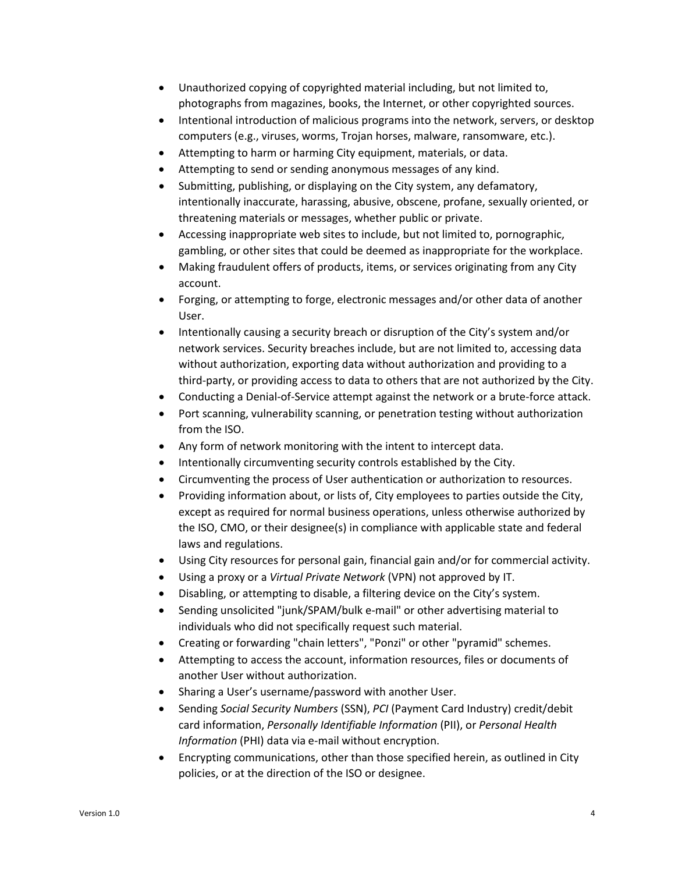- Unauthorized copying of copyrighted material including, but not limited to, photographs from magazines, books, the Internet, or other copyrighted sources.
- Intentional introduction of malicious programs into the network, servers, or desktop computers (e.g., viruses, worms, Trojan horses, malware, ransomware, etc.).
- Attempting to harm or harming City equipment, materials, or data.
- Attempting to send or sending anonymous messages of any kind.
- Submitting, publishing, or displaying on the City system, any defamatory, intentionally inaccurate, harassing, abusive, obscene, profane, sexually oriented, or threatening materials or messages, whether public or private.
- Accessing inappropriate web sites to include, but not limited to, pornographic, gambling, or other sites that could be deemed as inappropriate for the workplace.
- Making fraudulent offers of products, items, or services originating from any City account.
- Forging, or attempting to forge, electronic messages and/or other data of another User.
- Intentionally causing a security breach or disruption of the City's system and/or network services. Security breaches include, but are not limited to, accessing data without authorization, exporting data without authorization and providing to a third-party, or providing access to data to others that are not authorized by the City.
- Conducting a Denial-of-Service attempt against the network or a brute-force attack.
- Port scanning, vulnerability scanning, or penetration testing without authorization from the ISO.
- Any form of network monitoring with the intent to intercept data.
- Intentionally circumventing security controls established by the City.
- Circumventing the process of User authentication or authorization to resources.
- Providing information about, or lists of, City employees to parties outside the City, except as required for normal business operations, unless otherwise authorized by the ISO, CMO, or their designee(s) in compliance with applicable state and federal laws and regulations.
- Using City resources for personal gain, financial gain and/or for commercial activity.
- Using a proxy or a *Virtual Private Network* (VPN) not approved by IT.
- Disabling, or attempting to disable, a filtering device on the City's system.
- Sending unsolicited "junk/SPAM/bulk e-mail" or other advertising material to individuals who did not specifically request such material.
- Creating or forwarding "chain letters", "Ponzi" or other "pyramid" schemes.
- Attempting to access the account, information resources, files or documents of another User without authorization.
- Sharing a User's username/password with another User.
- Sending *Social Security Numbers* (SSN), *PCI* (Payment Card Industry) credit/debit card information, *Personally Identifiable Information* (PII), or *Personal Health Information* (PHI) data via e-mail without encryption.
- Encrypting communications, other than those specified herein, as outlined in City policies, or at the direction of the ISO or designee.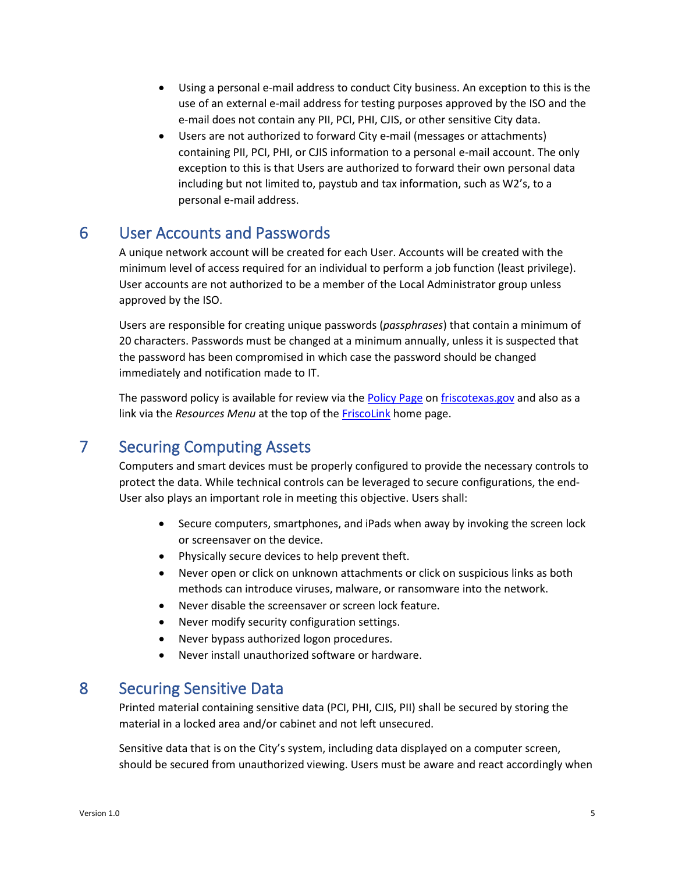- Using a personal e-mail address to conduct City business. An exception to this is the use of an external e-mail address for testing purposes approved by the ISO and the e-mail does not contain any PII, PCI, PHI, CJIS, or other sensitive City data.
- Users are not authorized to forward City e-mail (messages or attachments) containing PII, PCI, PHI, or CJIS information to a personal e-mail account. The only exception to this is that Users are authorized to forward their own personal data including but not limited to, paystub and tax information, such as W2's, to a personal e-mail address.

# <span id="page-4-0"></span>6 User Accounts and Passwords

A unique network account will be created for each User. Accounts will be created with the minimum level of access required for an individual to perform a job function (least privilege). User accounts are not authorized to be a member of the Local Administrator group unless approved by the ISO.

Users are responsible for creating unique passwords (*passphrases*) that contain a minimum of 20 characters. Passwords must be changed at a minimum annually, unless it is suspected that the password has been compromised in which case the password should be changed immediately and notification made to IT.

The password policy is available for review via the [Policy Page](http://www.friscotexas.gov/307/Policies) on [friscotexas.gov](https://www.friscotexas.gov/) and also as a link via the *Resources Menu* at the top of the [FriscoLink](https://friscotexas.sharepoint.com/) home page.

# <span id="page-4-1"></span>7 Securing Computing Assets

Computers and smart devices must be properly configured to provide the necessary controls to protect the data. While technical controls can be leveraged to secure configurations, the end-User also plays an important role in meeting this objective. Users shall:

- Secure computers, smartphones, and iPads when away by invoking the screen lock or screensaver on the device.
- Physically secure devices to help prevent theft.
- Never open or click on unknown attachments or click on suspicious links as both methods can introduce viruses, malware, or ransomware into the network.
- Never disable the screensaver or screen lock feature.
- Never modify security configuration settings.
- Never bypass authorized logon procedures.
- Never install unauthorized software or hardware.

# <span id="page-4-2"></span>8 Securing Sensitive Data

Printed material containing sensitive data (PCI, PHI, CJIS, PII) shall be secured by storing the material in a locked area and/or cabinet and not left unsecured.

Sensitive data that is on the City's system, including data displayed on a computer screen, should be secured from unauthorized viewing. Users must be aware and react accordingly when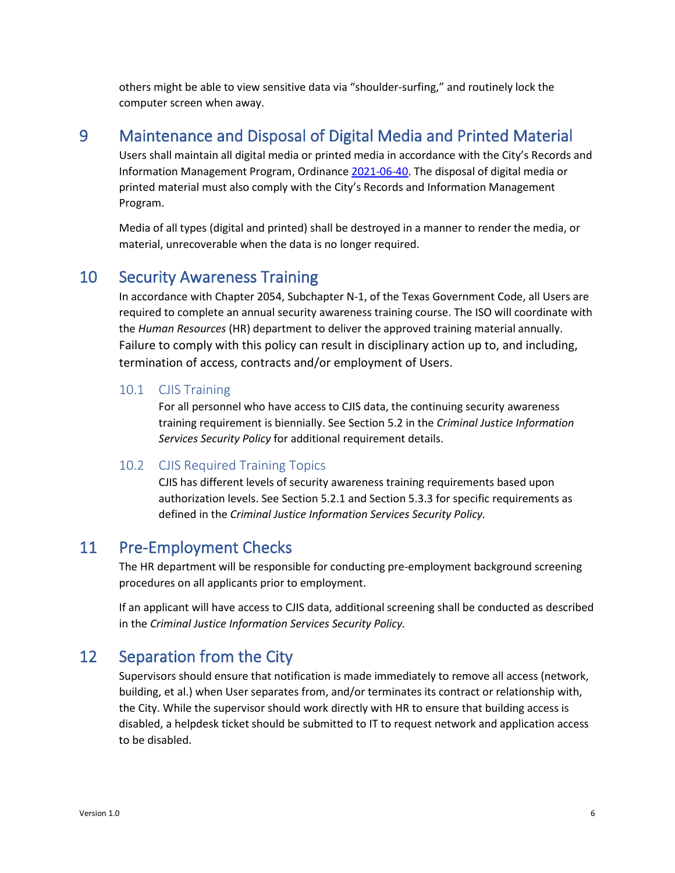others might be able to view sensitive data via "shoulder-surfing," and routinely lock the computer screen when away.

# <span id="page-5-0"></span>9 Maintenance and Disposal of Digital Media and Printed Material

Users shall maintain all digital media or printed media in accordance with the City's Records and Information Management Program, Ordinance [2021-06-40.](https://z2codes.franklinlegal.net/franklin/FileViewer.jsp?z2collection=frisco&filetype=linkedsupportdocument&location=supportdocument&showset=frisco&name=Ordinances/2021/Ord_2021_06_40.pdf) The disposal of digital media or printed material must also comply with the City's Records and Information Management Program.

Media of all types (digital and printed) shall be destroyed in a manner to render the media, or material, unrecoverable when the data is no longer required.

## <span id="page-5-1"></span>10 Security Awareness Training

In accordance with Chapter 2054, Subchapter N-1, of the Texas Government Code, all Users are required to complete an annual security awareness training course. The ISO will coordinate with the *Human Resources* (HR) department to deliver the approved training material annually. Failure to comply with this policy can result in disciplinary action up to, and including, termination of access, contracts and/or employment of Users.

#### <span id="page-5-2"></span>10.1 CJIS Training

For all personnel who have access to CJIS data, the continuing security awareness training requirement is biennially. See Section 5.2 in the *Criminal Justice Information Services Security Policy* for additional requirement details.

#### <span id="page-5-3"></span>10.2 CJIS Required Training Topics

CJIS has different levels of security awareness training requirements based upon authorization levels. See Section 5.2.1 and Section 5.3.3 for specific requirements as defined in the *Criminal Justice Information Services Security Policy.*

## <span id="page-5-4"></span>11 Pre-Employment Checks

The HR department will be responsible for conducting pre-employment background screening procedures on all applicants prior to employment.

If an applicant will have access to CJIS data, additional screening shall be conducted as described in the *Criminal Justice Information Services Security Policy.*

## <span id="page-5-5"></span>12 Separation from the City

Supervisors should ensure that notification is made immediately to remove all access (network, building, et al.) when User separates from, and/or terminates its contract or relationship with, the City. While the supervisor should work directly with HR to ensure that building access is disabled, a helpdesk ticket should be submitted to IT to request network and application access to be disabled.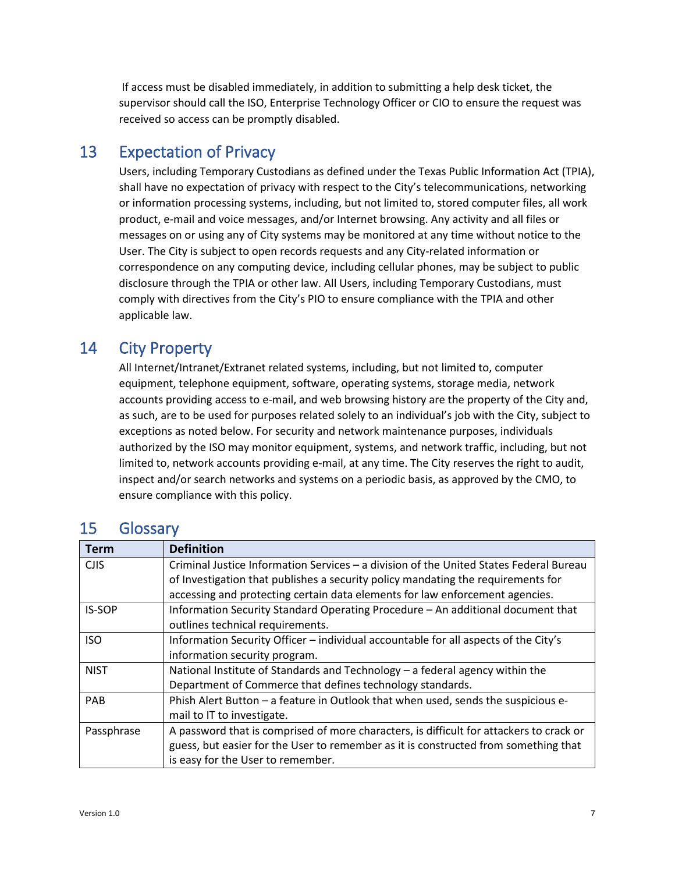If access must be disabled immediately, in addition to submitting a help desk ticket, the supervisor should call the ISO, Enterprise Technology Officer or CIO to ensure the request was received so access can be promptly disabled.

# <span id="page-6-1"></span><span id="page-6-0"></span>13 Expectation of Privacy

Users, including Temporary Custodians as defined under the Texas Public Information Act (TPIA), shall have no expectation of privacy with respect to the City's telecommunications, networking or information processing systems, including, but not limited to, stored computer files, all work product, e-mail and voice messages, and/or Internet browsing. Any activity and all files or messages on or using any of City systems may be monitored at any time without notice to the User. The City is subject to open records requests and any City-related information or correspondence on any computing device, including cellular phones, may be subject to public disclosure through the TPIA or other law. All Users, including Temporary Custodians, must comply with directives from the City's PIO to ensure compliance with the TPIA and other applicable law.

# 14 City Property

All Internet/Intranet/Extranet related systems, including, but not limited to, computer equipment, telephone equipment, software, operating systems, storage media, network accounts providing access to e-mail, and web browsing history are the property of the City and, as such, are to be used for purposes related solely to an individual's job with the City, subject to exceptions as noted below. For security and network maintenance purposes, individuals authorized by the ISO may monitor equipment, systems, and network traffic, including, but not limited to, network accounts providing e-mail, at any time. The City reserves the right to audit, inspect and/or search networks and systems on a periodic basis, as approved by the CMO, to ensure compliance with this policy.

| <b>Term</b>   | <b>Definition</b>                                                                       |  |  |
|---------------|-----------------------------------------------------------------------------------------|--|--|
| <b>CJIS</b>   | Criminal Justice Information Services - a division of the United States Federal Bureau  |  |  |
|               | of Investigation that publishes a security policy mandating the requirements for        |  |  |
|               | accessing and protecting certain data elements for law enforcement agencies.            |  |  |
| <b>IS-SOP</b> | Information Security Standard Operating Procedure - An additional document that         |  |  |
|               | outlines technical requirements.                                                        |  |  |
| <b>ISO</b>    | Information Security Officer - individual accountable for all aspects of the City's     |  |  |
|               | information security program.                                                           |  |  |
| <b>NIST</b>   | National Institute of Standards and Technology - a federal agency within the            |  |  |
|               | Department of Commerce that defines technology standards.                               |  |  |
| PAB           | Phish Alert Button - a feature in Outlook that when used, sends the suspicious e-       |  |  |
|               | mail to IT to investigate.                                                              |  |  |
| Passphrase    | A password that is comprised of more characters, is difficult for attackers to crack or |  |  |
|               | guess, but easier for the User to remember as it is constructed from something that     |  |  |
|               | is easy for the User to remember.                                                       |  |  |

# <span id="page-6-2"></span>15 Glossary